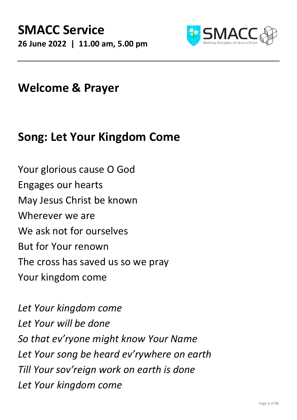

### **Welcome & Prayer**

## **Song: Let Your Kingdom Come**

Your glorious cause O God Engages our hearts May Jesus Christ be known Wherever we are We ask not for ourselves But for Your renown The cross has saved us so we pray Your kingdom come

*Let Your kingdom come Let Your will be done So that ev'ryone might know Your Name Let Your song be heard ev'rywhere on earth Till Your sov'reign work on earth is done Let Your kingdom come*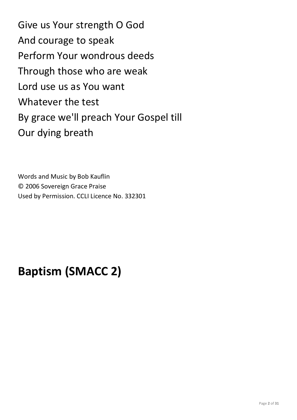Give us Your strength O God And courage to speak Perform Your wondrous deeds Through those who are weak Lord use us as You want Whatever the test By grace we'll preach Your Gospel till Our dying breath

Words and Music by Bob Kauflin © 2006 Sovereign Grace Praise Used by Permission. CCLI Licence No. 332301

# **Baptism (SMACC 2)**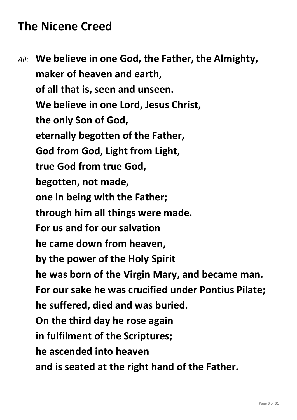# **The Nicene Creed**

*All:* **We believe in one God, the Father, the Almighty, maker of heaven and earth, of all that is, seen and unseen. We believe in one Lord, Jesus Christ, the only Son of God, eternally begotten of the Father, God from God, Light from Light, true God from true God, begotten, not made, one in being with the Father; through him all things were made. For us and for our salvation he came down from heaven, by the power of the Holy Spirit he was born of the Virgin Mary, and became man. For our sake he was crucified under Pontius Pilate; he suffered, died and was buried. On the third day he rose again in fulfilment of the Scriptures; he ascended into heaven and is seated at the right hand of the Father.**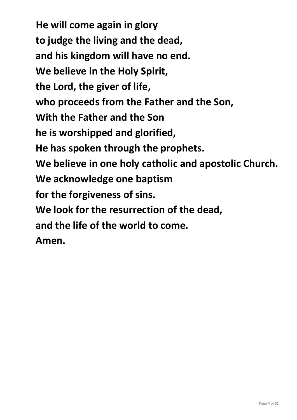**He will come again in glory to judge the living and the dead, and his kingdom will have no end. We believe in the Holy Spirit, the Lord, the giver of life, who proceeds from the Father and the Son, With the Father and the Son he is worshipped and glorified, He has spoken through the prophets. We believe in one holy catholic and apostolic Church. We acknowledge one baptism for the forgiveness of sins. We look for the resurrection of the dead, and the life of the world to come. Amen.**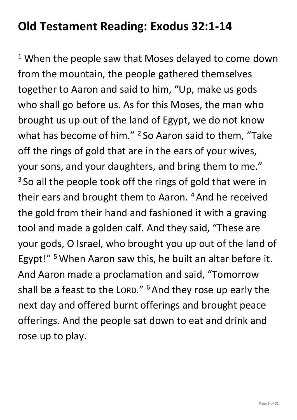# **Old Testament Reading: Exodus 32:1-14**

<sup>1</sup> When the people saw that Moses delayed to come down from the mountain, the people gathered themselves together to Aaron and said to him, "Up, make us gods who shall go before us. As for this Moses, the man who brought us up out of the land of Egypt, we do not know what has become of him."  $2$  So Aaron said to them, "Take off the rings of gold that are in the ears of your wives, your sons, and your daughters, and bring them to me." <sup>3</sup> So all the people took off the rings of gold that were in their ears and brought them to Aaron.<sup>4</sup> And he received the gold from their hand and fashioned it with a graving tool and made a golden calf. And they said, "These are your gods, O Israel, who brought you up out of the land of Egypt!" <sup>5</sup>When Aaron saw this, he built an altar before it. And Aaron made a proclamation and said, "Tomorrow shall be a feast to the LORD." <sup>6</sup> And they rose up early the next day and offered burnt offerings and brought peace offerings. And the people sat down to eat and drink and rose up to play.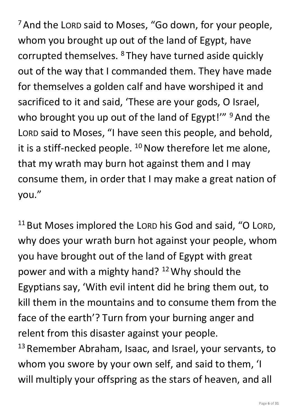<sup>7</sup> And the LORD said to Moses, "Go down, for your people, whom you brought up out of the land of Egypt, have corrupted themselves. <sup>8</sup>They have turned aside quickly out of the way that I commanded them. They have made for themselves a golden calf and have worshiped it and sacrificed to it and said, 'These are your gods, O Israel, who brought you up out of the land of Egypt!" <sup>9</sup> And the LORD said to Moses, "I have seen this people, and behold, it is a stiff-necked people.  $10$  Now therefore let me alone, that my wrath may burn hot against them and I may consume them, in order that I may make a great nation of you."

<sup>11</sup> But Moses implored the LORD his God and said, "O LORD, why does your wrath burn hot against your people, whom you have brought out of the land of Egypt with great power and with a mighty hand? <sup>12</sup>Why should the Egyptians say, 'With evil intent did he bring them out, to kill them in the mountains and to consume them from the face of the earth'? Turn from your burning anger and relent from this disaster against your people. <sup>13</sup> Remember Abraham, Isaac, and Israel, your servants, to

whom you swore by your own self, and said to them, 'I will multiply your offspring as the stars of heaven, and all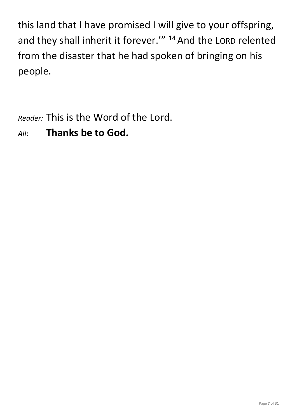this land that I have promised I will give to your offspring, and they shall inherit it forever." <sup>14</sup> And the LORD relented from the disaster that he had spoken of bringing on his people.

*Reader:* This is the Word of the Lord.

### *All*: **Thanks be to God.**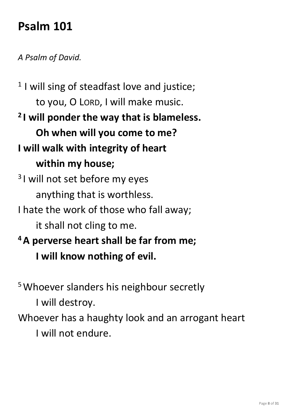# **Psalm 101**

#### *A Psalm of David.*

<sup>1</sup> I will sing of steadfast love and justice; to you, O LORD, I will make music. **2 I will ponder the way that is blameless. Oh when will you come to me? I will walk with integrity of heart within my house;** <sup>3</sup>I will not set before my eyes anything that is worthless. I hate the work of those who fall away; it shall not cling to me. **<sup>4</sup>A perverse heart shall be far from me;**

**I will know nothing of evil.**

<sup>5</sup> Whoever slanders his neighbour secretly

I will destroy.

Whoever has a haughty look and an arrogant heart

I will not endure.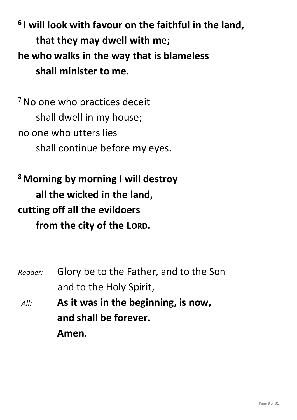**6 I will look with favour on the faithful in the land, that they may dwell with me; he who walks in the way that is blameless shall minister to me.**

<sup>7</sup> No one who practices deceit shall dwell in my house; no one who utters lies shall continue before my eyes.

**<sup>8</sup>Morning by morning I will destroy all the wicked in the land, cutting off all the evildoers from the city of the LORD.**

*Reader:* Glory be to the Father, and to the Son and to the Holy Spirit, *All:* **As it was in the beginning, is now, and shall be forever. Amen.**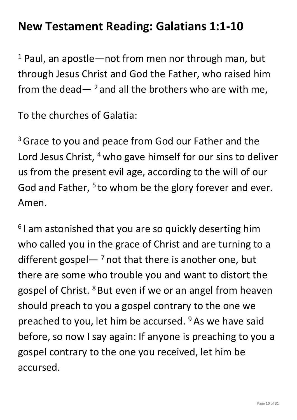## **New Testament Reading: Galatians 1:1-10**

 $1$  Paul, an apostle—not from men nor through man, but through Jesus Christ and God the Father, who raised him from the dead  $-$  <sup>2</sup> and all the brothers who are with me,

To the churches of Galatia:

<sup>3</sup> Grace to you and peace from God our Father and the Lord Jesus Christ, <sup>4</sup> who gave himself for our sins to deliver us from the present evil age, according to the will of our God and Father,  $5$  to whom be the glory forever and ever. Amen.

 $61$  am astonished that you are so quickly deserting him who called you in the grace of Christ and are turning to a different gospel— $^7$  not that there is another one, but there are some who trouble you and want to distort the gospel of Christ. <sup>8</sup> But even if we or an angel from heaven should preach to you a gospel contrary to the one we preached to you, let him be accursed. <sup>9</sup> As we have said before, so now I say again: If anyone is preaching to you a gospel contrary to the one you received, let him be accursed.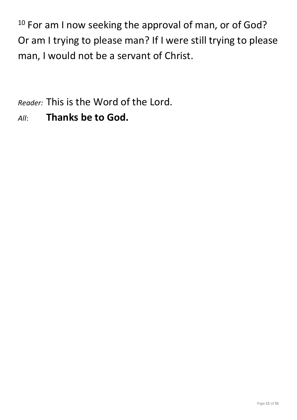<sup>10</sup> For am I now seeking the approval of man, or of God? Or am I trying to please man? If I were still trying to please man, I would not be a servant of Christ.

*Reader:* This is the Word of the Lord.

*All*: **Thanks be to God.**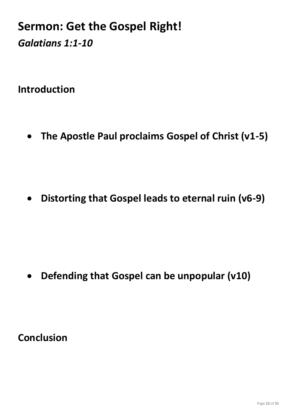## **Sermon: Get the Gospel Right!** *Galatians 1:1-10*

**Introduction**

• **The Apostle Paul proclaims Gospel of Christ (v1-5)**

• **Distorting that Gospel leads to eternal ruin (v6-9)**

• **Defending that Gospel can be unpopular (v10)**

**Conclusion**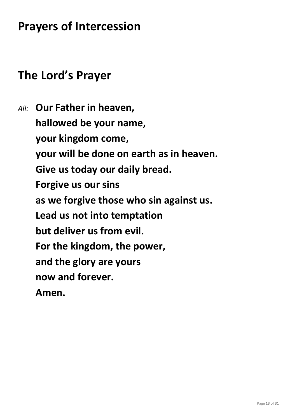## **Prayers of Intercession**

## **The Lord's Prayer**

*All:* **Our Father in heaven, hallowed be your name, your kingdom come, your will be done on earth as in heaven. Give us today our daily bread. Forgive us our sins as we forgive those who sin against us. Lead us not into temptation but deliver us from evil. For the kingdom, the power, and the glory are yours now and forever. Amen.**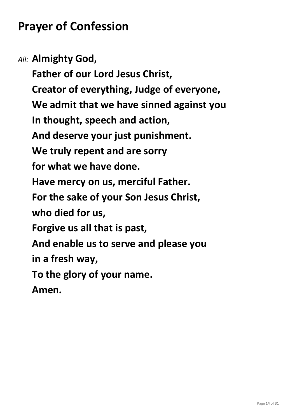# **Prayer of Confession**

*All:* **Almighty God,**

**Father of our Lord Jesus Christ, Creator of everything, Judge of everyone, We admit that we have sinned against you In thought, speech and action, And deserve your just punishment. We truly repent and are sorry for what we have done. Have mercy on us, merciful Father. For the sake of your Son Jesus Christ, who died for us, Forgive us all that is past, And enable us to serve and please you in a fresh way, To the glory of your name. Amen.**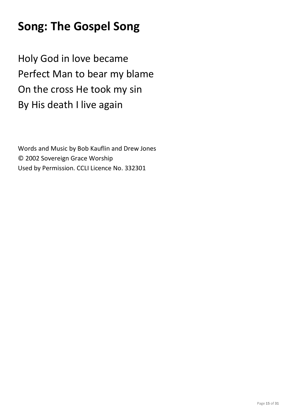# **Song: The Gospel Song**

Holy God in love became Perfect Man to bear my blame On the cross He took my sin By His death I live again

Words and Music by Bob Kauflin and Drew Jones © 2002 Sovereign Grace Worship Used by Permission. CCLI Licence No. 332301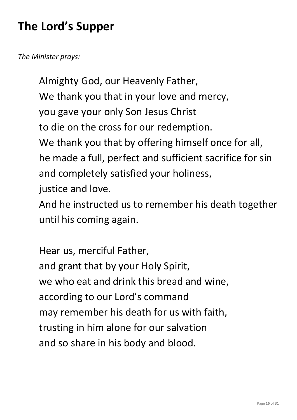# **The Lord's Supper**

*The Minister prays:*

Almighty God, our Heavenly Father, We thank you that in your love and mercy, you gave your only Son Jesus Christ to die on the cross for our redemption. We thank you that by offering himself once for all, he made a full, perfect and sufficient sacrifice for sin and completely satisfied your holiness, justice and love.

And he instructed us to remember his death together until his coming again.

Hear us, merciful Father, and grant that by your Holy Spirit, we who eat and drink this bread and wine, according to our Lord's command may remember his death for us with faith, trusting in him alone for our salvation and so share in his body and blood.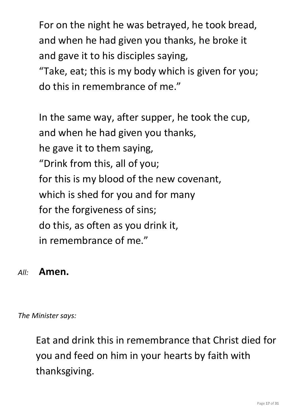For on the night he was betrayed, he took bread, and when he had given you thanks, he broke it and gave it to his disciples saying,

"Take, eat; this is my body which is given for you; do this in remembrance of me."

In the same way, after supper, he took the cup, and when he had given you thanks, he gave it to them saying, "Drink from this, all of you; for this is my blood of the new covenant, which is shed for you and for many for the forgiveness of sins; do this, as often as you drink it, in remembrance of me."

#### *All:* **Amen.**

*The Minister says:*

Eat and drink this in remembrance that Christ died for you and feed on him in your hearts by faith with thanksgiving.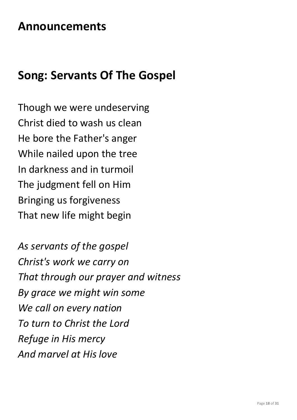### **Announcements**

### **Song: Servants Of The Gospel**

Though we were undeserving Christ died to wash us clean He bore the Father's anger While nailed upon the tree In darkness and in turmoil The judgment fell on Him Bringing us forgiveness That new life might begin

*As servants of the gospel Christ's work we carry on That through our prayer and witness By grace we might win some We call on every nation To turn to Christ the Lord Refuge in His mercy And marvel at His love*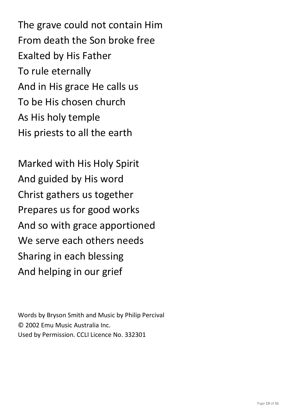The grave could not contain Him From death the Son broke free Exalted by His Father To rule eternally And in His grace He calls us To be His chosen church As His holy temple His priests to all the earth

Marked with His Holy Spirit And guided by His word Christ gathers us together Prepares us for good works And so with grace apportioned We serve each others needs Sharing in each blessing And helping in our grief

Words by Bryson Smith and Music by Philip Percival © 2002 Emu Music Australia Inc. Used by Permission. CCLI Licence No. 332301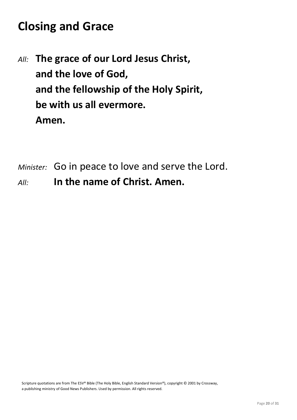# **Closing and Grace**

- *All:* **The grace of our Lord Jesus Christ, and the love of God, and the fellowship of the Holy Spirit, be with us all evermore. Amen.**
- *Minister:* Go in peace to love and serve the Lord.
- *All:* **In the name of Christ. Amen.**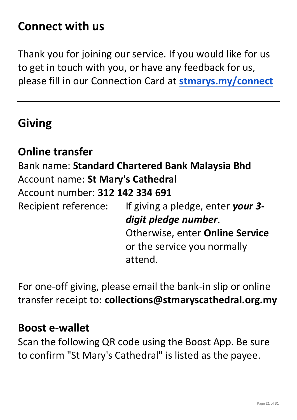## **Connect with us**

Thank you for joining our service. If you would like for us to get in touch with you, or have any feedback for us, please fill in our Connection Card at **[stmarys.my/connect](http://stmarys.my/connect)**

### **Giving**

#### **Online transfer**

Bank name: **Standard Chartered Bank Malaysia Bhd** Account name: **St Mary's Cathedral** Account number: **312 142 334 691** Recipient reference: If giving a pledge, enter *your 3 digit pledge number*.

Otherwise, enter **Online Service** or the service you normally attend.

For one-off giving, please email the bank-in slip or online transfer receipt to: **collections@stmaryscathedral.org.my**

#### **Boost e-wallet**

Scan the following QR code using the Boost App. Be sure to confirm "St Mary's Cathedral" is listed as the payee.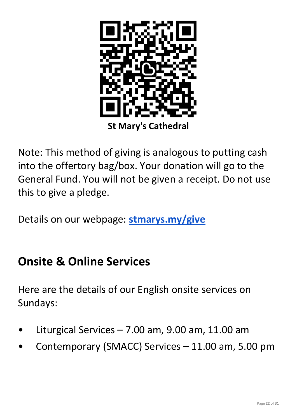

Note: This method of giving is analogous to putting cash into the offertory bag/box. Your donation will go to the General Fund. You will not be given a receipt. Do not use this to give a pledge.

Details on our webpage: **[stmarys.my/give](http://stmarys.my/give)**

### **Onsite & Online Services**

Here are the details of our English onsite services on Sundays:

- Liturgical Services  $7.00$  am,  $9.00$  am,  $11.00$  am
- Contemporary (SMACC) Services 11.00 am, 5.00 pm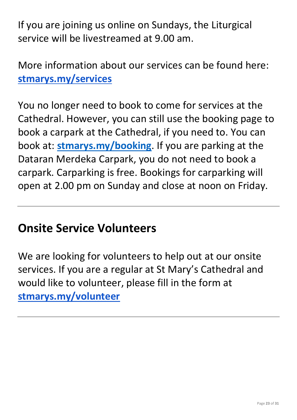If you are joining us online on Sundays, the Liturgical service will be livestreamed at 9.00 am.

More information about our services can be found here: **[stmarys.my/services](http://stmarys.my/services)**

You no longer need to book to come for services at the Cathedral. However, you can still use the booking page to book a carpark at the Cathedral, if you need to. You can book at: **[stmarys.my/booking](http://stmarys.my/booking)**. If you are parking at the Dataran Merdeka Carpark, you do not need to book a carpark. Carparking is free. Bookings for carparking will open at 2.00 pm on Sunday and close at noon on Friday.

### **Onsite Service Volunteers**

We are looking for volunteers to help out at our onsite services. If you are a regular at St Mary's Cathedral and would like to volunteer, please fill in the form at **[stmarys.my/volunteer](http://stmarys.my/volunteer)**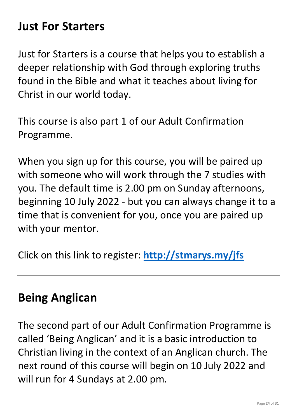### **Just For Starters**

Just for Starters is a course that helps you to establish a deeper relationship with God through exploring truths found in the Bible and what it teaches about living for Christ in our world today.

This course is also part 1 of our Adult Confirmation Programme.

When you sign up for this course, you will be paired up with someone who will work through the 7 studies with you. The default time is 2.00 pm on Sunday afternoons, beginning 10 July 2022 - but you can always change it to a time that is convenient for you, once you are paired up with your mentor.

Click on this link to register: **<http://stmarys.my/jfs>**

### **Being Anglican**

The second part of our Adult Confirmation Programme is called 'Being Anglican' and it is a basic introduction to Christian living in the context of an Anglican church. The next round of this course will begin on 10 July 2022 and will run for 4 Sundays at 2.00 pm.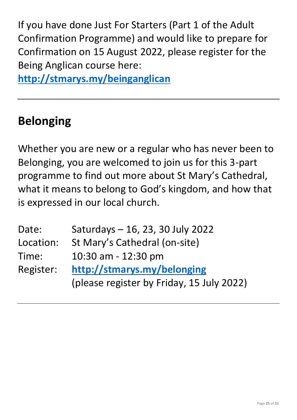If you have done Just For Starters (Part 1 of the Adult Confirmation Programme) and would like to prepare for Confirmation on 15 August 2022, please register for the Being Anglican course here:

**<http://stmarys.my/beinganglican>**

# **Belonging**

Whether you are new or a regular who has never been to Belonging, you are welcomed to join us for this 3-part programme to find out more about St Mary's Cathedral, what it means to belong to God's kingdom, and how that is expressed in our local church.

| Date:     | Saturdays - 16, 23, 30 July 2022          |
|-----------|-------------------------------------------|
| Location: | St Mary's Cathedral (on-site)             |
| Time:     | 10:30 am - 12:30 pm                       |
| Register: | http://stmarys.my/belonging               |
|           | (please register by Friday, 15 July 2022) |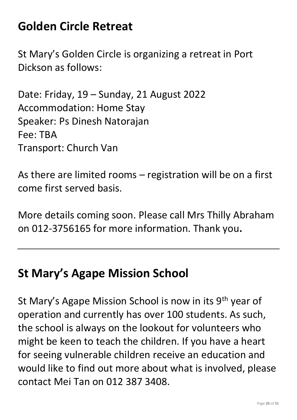# **Golden Circle Retreat**

St Mary's Golden Circle is organizing a retreat in Port Dickson as follows:

Date: Friday, 19 – Sunday, 21 August 2022 Accommodation: Home Stay Speaker: Ps Dinesh Natorajan Fee: TBA Transport: Church Van

As there are limited rooms – registration will be on a first come first served basis.

More details coming soon. Please call Mrs Thilly Abraham on 012-3756165 for more information. Thank you**.**

### **St Mary's Agape Mission School**

St Mary's Agape Mission School is now in its 9<sup>th</sup> year of operation and currently has over 100 students. As such, the school is always on the lookout for volunteers who might be keen to teach the children. If you have a heart for seeing vulnerable children receive an education and would like to find out more about what is involved, please contact Mei Tan on 012 387 3408.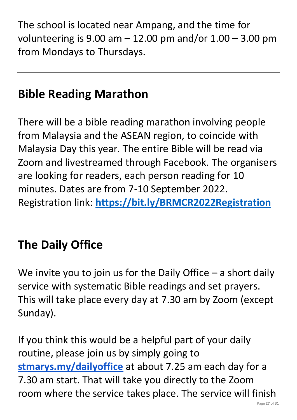The school is located near Ampang, and the time for volunteering is  $9.00$  am  $-12.00$  pm and/or  $1.00 - 3.00$  pm from Mondays to Thursdays.

# **Bible Reading Marathon**

There will be a bible reading marathon involving people from Malaysia and the ASEAN region, to coincide with Malaysia Day this year. The entire Bible will be read via Zoom and livestreamed through Facebook. The organisers are looking for readers, each person reading for 10 minutes. Dates are from 7-10 September 2022. Registration link: **<https://bit.ly/BRMCR2022Registration>**

# **The Daily Office**

We invite you to join us for the Daily Office  $-$  a short daily service with systematic Bible readings and set prayers. This will take place every day at 7.30 am by Zoom (except Sunday).

If you think this would be a helpful part of your daily routine, please join us by simply going to **[stmarys.my/dailyoffice](http://stmarys.my/dailyoffice)** at about 7.25 am each day for a 7.30 am start. That will take you directly to the Zoom room where the service takes place. The service will finish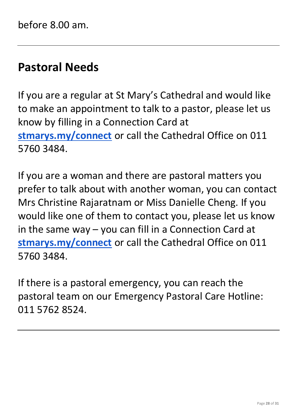### **Pastoral Needs**

If you are a regular at St Mary's Cathedral and would like to make an appointment to talk to a pastor, please let us know by filling in a Connection Card at **[stmarys.my/connect](http://stmarys.my/connect)** or call the Cathedral Office on 011 5760 3484.

If you are a woman and there are pastoral matters you prefer to talk about with another woman, you can contact Mrs Christine Rajaratnam or Miss Danielle Cheng. If you would like one of them to contact you, please let us know in the same way – you can fill in a Connection Card at **[stmarys.my/connect](http://stmarys.my/connect)** or call the Cathedral Office on 011 5760 3484.

If there is a pastoral emergency, you can reach the pastoral team on our Emergency Pastoral Care Hotline: 011 5762 8524.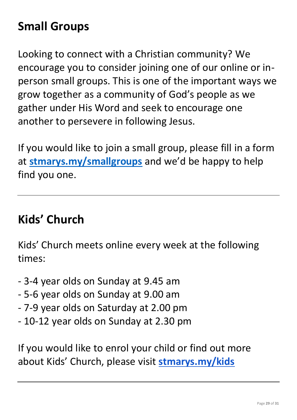# **Small Groups**

Looking to connect with a Christian community? We encourage you to consider joining one of our online or inperson small groups. This is one of the important ways we grow together as a community of God's people as we gather under His Word and seek to encourage one another to persevere in following Jesus.

If you would like to join a small group, please fill in a form at **[stmarys.my/smallgroups](http://stmarys.my/smallgroups)** and we'd be happy to help find you one.

### **Kids' Church**

Kids' Church meets online every week at the following times:

- 3-4 year olds on Sunday at 9.45 am
- 5-6 year olds on Sunday at 9.00 am
- 7-9 year olds on Saturday at 2.00 pm
- 10-12 year olds on Sunday at 2.30 pm

If you would like to enrol your child or find out more about Kids' Church, please visit **[stmarys.my/kids](http://stmarys.my/kids)**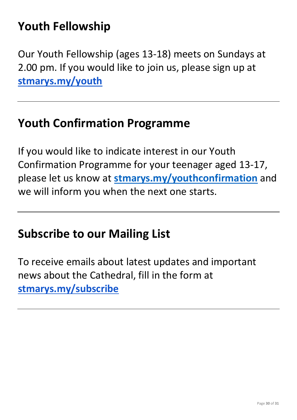# **Youth Fellowship**

Our Youth Fellowship (ages 13-18) meets on Sundays at 2.00 pm. If you would like to join us, please sign up at **[stmarys.my/youth](http://stmarys.my/youth)**

### **Youth Confirmation Programme**

If you would like to indicate interest in our Youth Confirmation Programme for your teenager aged 13-17, please let us know at **[stmarys.my/youthconfirmation](http://stmarys.my/youthconfirmation)** and we will inform you when the next one starts.

### **Subscribe to our Mailing List**

To receive emails about latest updates and important news about the Cathedral, fill in the form at **[stmarys.my/subscribe](http://stmarys.my/subscribe)**